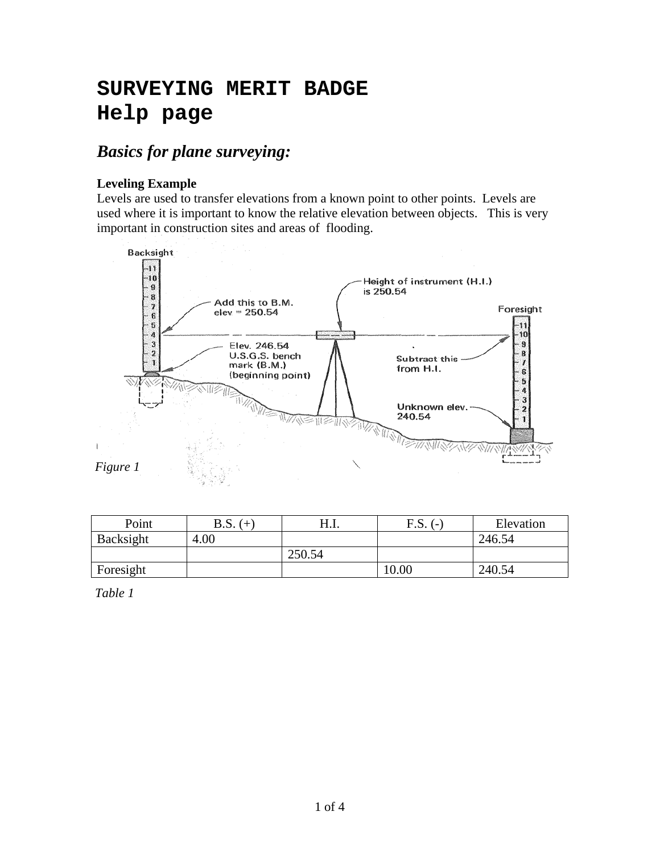# **SURVEYING MERIT BADGE Help page**

## *Basics for plane surveying:*

### **Leveling Example**

Levels are used to transfer elevations from a known point to other points. Levels are used where it is important to know the relative elevation between objects. This is very important in construction sites and areas of flooding.



| Point     | B.S.<br>$+$ | H.I.   | F.S.<br>$\overline{\phantom{0}}$ | Elevation |
|-----------|-------------|--------|----------------------------------|-----------|
| Backsight | 4.00        |        |                                  | 246.54    |
|           |             | 250.54 |                                  |           |
| Foresight |             |        | 10.00                            | 240.54    |

*Table 1*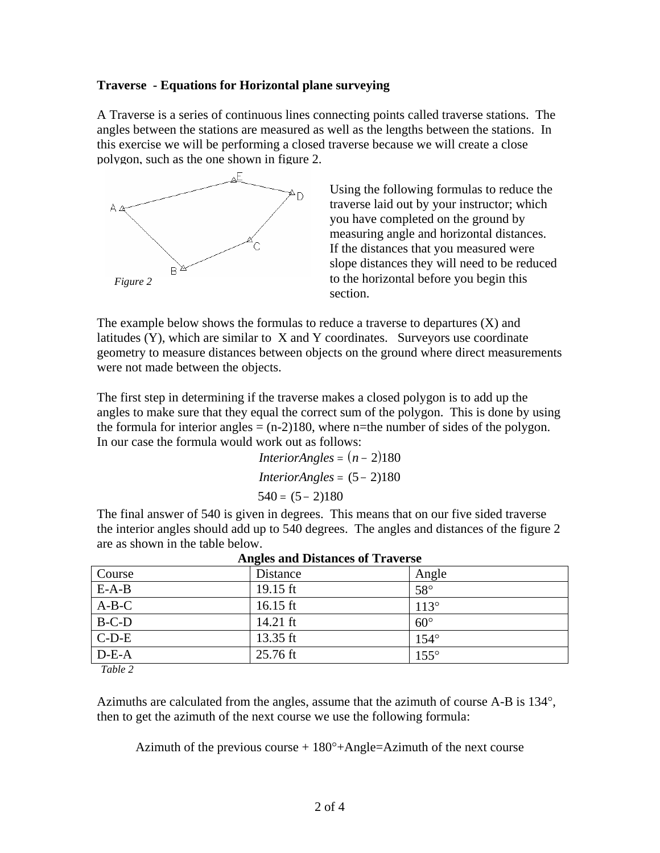#### **Traverse - Equations for Horizontal plane surveying**

A Traverse is a series of continuous lines connecting points called traverse stations. The angles between the stations are measured as well as the lengths between the stations. In this exercise we will be performing a closed traverse because we will create a close polygon, such as the one shown in figure 2.



Using the following formulas to reduce the traverse laid out by your instructor; which you have completed on the ground by measuring angle and horizontal distances. If the distances that you measured were slope distances they will need to be reduced to the horizontal before you begin this section.

The example below shows the formulas to reduce a traverse to departures (X) and latitudes  $(Y)$ , which are similar to  $X$  and  $Y$  coordinates. Surveyors use coordinate geometry to measure distances between objects on the ground where direct measurements were not made between the objects.

The first step in determining if the traverse makes a closed polygon is to add up the angles to make sure that they equal the correct sum of the polygon. This is done by using the formula for interior angles  $= (n-2)180$ , where n=the number of sides of the polygon. In our case the formula would work out as follows:

$$
InteriorAngles = (n-2)180
$$
  
\n
$$
InteriorAngles = (5-2)180
$$
  
\n
$$
540 = (5-2)180
$$

The final answer of 540 is given in degrees. This means that on our five sided traverse the interior angles should add up to 540 degrees. The angles and distances of the figure 2 are as shown in the table below.

| Angles and Distances of Traverse |            |              |  |  |  |  |  |
|----------------------------------|------------|--------------|--|--|--|--|--|
| Course                           | Distance   | Angle        |  |  |  |  |  |
| $E-A-B$                          | 19.15 ft   | $58^\circ$   |  |  |  |  |  |
| $A-B-C$                          | 16.15 ft   | $113^\circ$  |  |  |  |  |  |
| $B-C-D$                          | 14.21 $ft$ | $60^{\circ}$ |  |  |  |  |  |
| $C-D-E$                          | 13.35 $ft$ | $154^\circ$  |  |  |  |  |  |
| $D-E-A$                          | $25.76$ ft | $155^\circ$  |  |  |  |  |  |

*Table 2* 

Azimuths are calculated from the angles, assume that the azimuth of course A-B is 134°, then to get the azimuth of the next course we use the following formula:

Azimuth of the previous course  $+180^\circ+$ Angle=Azimuth of the next course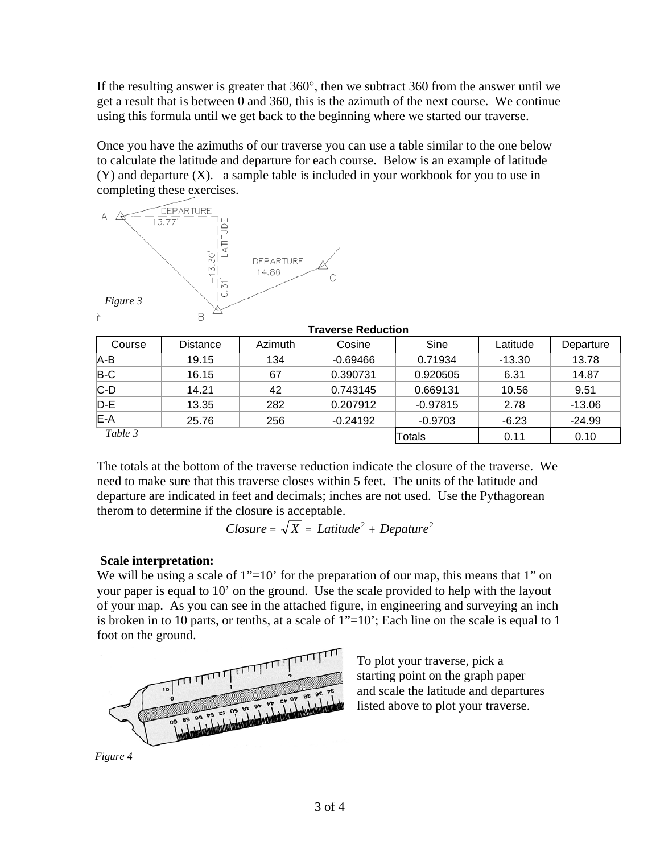If the resulting answer is greater that 360°, then we subtract 360 from the answer until we get a result that is between 0 and 360, this is the azimuth of the next course. We continue using this formula until we get back to the beginning where we started our traverse.

Once you have the azimuths of our traverse you can use a table similar to the one below to calculate the latitude and departure for each course. Below is an example of latitude (Y) and departure (X). a sample table is included in your workbook for you to use in completing these exercises.



| <b>Traverse Reduction</b> |                 |         |            |            |          |           |  |  |  |
|---------------------------|-----------------|---------|------------|------------|----------|-----------|--|--|--|
| Course                    | <b>Distance</b> | Azimuth | Cosine     | Sine       | Latitude | Departure |  |  |  |
| $A-B$                     | 19.15           | 134     | $-0.69466$ | 0.71934    | $-13.30$ | 13.78     |  |  |  |
| $B-C$                     | 16.15           | 67      | 0.390731   | 0.920505   | 6.31     | 14.87     |  |  |  |
| $ C-D $                   | 14.21           | 42      | 0.743145   | 0.669131   | 10.56    | 9.51      |  |  |  |
| $D-E$                     | 13.35           | 282     | 0.207912   | $-0.97815$ | 2.78     | $-13.06$  |  |  |  |
| <b>IE-A</b>               | 25.76           | 256     | $-0.24192$ | $-0.9703$  | $-6.23$  | $-24.99$  |  |  |  |
| Table 3                   |                 |         |            | Totals     | 0.11     | 0.10      |  |  |  |

The totals at the bottom of the traverse reduction indicate the closure of the traverse. We need to make sure that this traverse closes within 5 feet. The units of the latitude and departure are indicated in feet and decimals; inches are not used. Use the Pythagorean therom to determine if the closure is acceptable.

$$
Closure = \sqrt{X} = Latitude^2 + Depature^2
$$

#### **Scale interpretation:**

We will be using a scale of  $1"$ =10' for the preparation of our map, this means that 1" on your paper is equal to 10' on the ground. Use the scale provided to help with the layout of your map. As you can see in the attached figure, in engineering and surveying an inch is broken in to 10 parts, or tenths, at a scale of 1"=10'; Each line on the scale is equal to 1 foot on the ground.



To plot your traverse, pick a starting point on the graph paper and scale the latitude and departures listed above to plot your traverse.

*Figure 4*